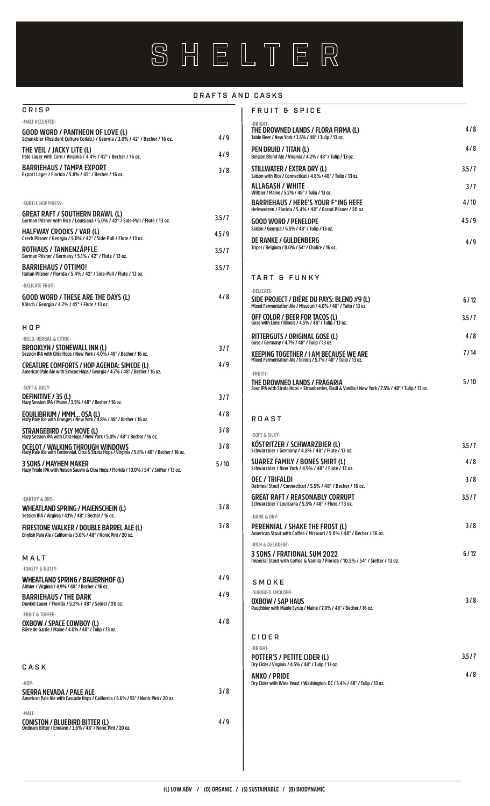# SHELTER

#### DRAFTS AND CASKS

| CRISP                                                                                                                                   |       |
|-----------------------------------------------------------------------------------------------------------------------------------------|-------|
| -MALT ACCENTED-                                                                                                                         |       |
| GOOD WORD / PANTHEON OF LOVE (L)<br>Schankbier (Resident Culture Collab.) / Georgia / 3.0% / 42° / Becher / 16 oz.                      | 4/9   |
| THE VEIL / JACKY LITE (L)<br>Pale Lager with Corn / Virginia / 4.4% / 42° / Becher / 16 oz.                                             | 4/9   |
| <b>BARRIEHAUS / TAMPA EXPORT</b><br>Export Lager / Florida / 5.8% / 42° / Becher / 16 oz.                                               | 3/8   |
|                                                                                                                                         |       |
| -SUBTLE HOPPINESS-                                                                                                                      |       |
| GREAT RAFT / SOUTHERN DRAWL (L)<br>German Pilsner with Rice / Louisiana / 5.0% / 42° / Side-Pull / Flute / 13 oz.                       | 3.5/7 |
| <b>HALFWAY CROOKS / VAR (L)</b><br>Czech Pilsner / Georgia / 5.0% / 42° / Side-Pull / Flute / 13 oz.                                    | 4.5/9 |
| ROTHAUS / TANNENZÄPFLE<br>German Pilsner / Germany / 5.1% / 42° / Flute / 13 oz.                                                        | 3.5/7 |
| <b>BARRIEHAUS / OTTIMO!</b><br>Italian Pilsner / Florida / 5.4% / 42° / Side-Pull / Flute / 13 oz.                                      | 3.5/7 |
| -DELICATE FRUIT-                                                                                                                        |       |
| <b>GOOD WORD / THESE ARE THE DAYS (L)</b><br>Kölsch / Georgia / 4.7% / 42° / Flute / 13 oz.                                             | 4/8   |
|                                                                                                                                         |       |
| нор                                                                                                                                     |       |
| -BOLD, HERBAL & CITRIC-<br>BROOKLYN / STONEWALL INN (L)<br>Session IPA with Citra Hops / New York / 4.0% / 48° / Becher / 16 oz.        | 3/7   |
| CREATURE COMFORTS / HOP AGENDA: SIMCOE (L)<br>American Pale Ale with Simcoe Hops / Georgia / 4.7% / 48° / Becher / 16 oz.               | 4/9   |
|                                                                                                                                         |       |
| -SOFT & JUICY-<br>DEFINITIVE / 35 (L)<br>Hazy Session IPA / Maine / 3.5% / 48° / Becher / 16 oz.                                        | 3/7   |
| EQUILIBRIUM / MMM OSA (L)<br>Hazy Pale Ale with Oranges / New York / 4.8% / 48° / Becher / 16 oz.                                       | 4/8   |
| STRANGEBIRD / SLY MOVE (L)<br>Hazy Session IPA with Citra Hops / New York / 5.0% / 48° / Becher / 16 oz.                                | 3/8   |
| <b>OCELOT / WALKING THROUGH WINDOWS</b><br>Hazy Pale Ale with Centennial, Citra & Strata Hops / Virginia / 5.8% / 48° / Becher / 16 oz. | 3/8   |
| <b>3 SONS / MAYHEM MAKER</b><br>Hazy Triple IPA with Nelson Sauvin & Citra Hops / Florida / 10.0% / 54° / Snifter / 13 oz.              | 5/10  |
|                                                                                                                                         |       |
| -EARTHY & DRY-                                                                                                                          |       |
| WHEATLAND SPRING / MAIENSCHEIN (L)<br>Session IPA / Virginia / 4.1% / 48° / Becher / 16 oz.                                             | 3/8   |
| <b>FIRESTONE WALKER / DOUBLE BARREL ALE (L)</b><br>English Pale Ale / California / 5.0% / 48° / Nonic Pint / 20 oz.                     | 3/8   |
|                                                                                                                                         |       |
| MALT                                                                                                                                    |       |
| -TOASTY & NUTTY-<br>WHEATLAND SPRING / BAUERNHOF (L)                                                                                    | 4/9   |
| Altbier / Virginia / 4.9% / 48° / Becher / 16 oz.                                                                                       | 4/9   |
| <b>BARRIEHAUS / THE DARK</b><br>Dunkel Lager / Florida / 5.2% / 48° / Seidel / 20 oz.<br>-FRUIT & TOFFEE-                               |       |
| OXBOW / SPACE COWBOY (L)<br>Bière de Garde / Maine / 4.0% / 48° / Tulip / 13 oz.                                                        | 4/8   |
|                                                                                                                                         |       |
|                                                                                                                                         |       |
| CASK                                                                                                                                    |       |
| $-HOP-$<br>SIERRA NEVADA / PALE ALE                                                                                                     | 3/8   |
| American Pale Ale with Cascade Hops / California / 5.6% / 55° / Nonic Pint / 20 oz.                                                     |       |
| -MALT-<br><b>CONISTON / BLUEBIRD BITTER (L)</b><br>Ordinary Bitter / England / 3.6% / 48° / Nonic Pint / 20 oz.                         | 4/9   |
|                                                                                                                                         |       |

| <b>FRUIT &amp; SPICE</b>                                                                                                                       |       |
|------------------------------------------------------------------------------------------------------------------------------------------------|-------|
| -BRIGHT-<br>THE DROWNED LANDS / FLORA FIRMA (L)<br>Table Beer / New York / 3.5% / 48° / Tulip / 13 oz.                                         | 4/8   |
| PEN DRUID / TITAN (L)<br>Belgian Blond Ale / Virginia / 4.2% / 48° / Tulip / 13 oz.                                                            | 4/8   |
| STILLWATER / EXTRA DRY (L)<br>Saison with Rice / Connecticut / 4.8% / 48° / Tulip / 13 oz.                                                     | 3.5/7 |
| <b>ALLAGASH / WHITE</b><br>Witbier / Maine / 5.2% / 48° / Tulip / 13 oz.                                                                       | 3/7   |
| <b>BARRIEHAUS / HERE'S YOUR F*ING HEFE</b><br>Hefeweizen / Florida / 5.4% / 48° / Grand Pilsner / 20 oz.                                       | 4/10  |
| <b>GOOD WORD / PENELOPE</b><br>Saison / Georgia / 6.5% / 48° / Tulip / 13 oz.                                                                  | 4.5/9 |
| <b>DE RANKE / GULDENBERG</b><br>Tripel / Belgium / 8.0% / 54° / Chalice / 16 oz.                                                               | 4/9   |
| <b>TART &amp; FUNKY</b>                                                                                                                        |       |
| -DELICATE-<br>SIDE PROJECT / BIÈRE DU PAYS: BLEND #9 (L)<br>Mixed Fermentation Ale / Missouri / 4.0% / 48° / Tulip / 13 oz.                    | 6/12  |
| OFF COLOR / BEER FOR TACOS (L)<br>Gose with Lime / Illinois / $4.5\%$ / $48^\circ$ / Tulip $7'$ 13 oz.                                         | 3.5/7 |
| RITTERGUTS / ORIGINAL GOSE (L)<br>Gose / Germany / 4.7% / 48° / Tulip / 13 oz.                                                                 | 4/8   |
| KEEPING TOGETHER / I AM BECAUSE WE ARE<br>Mixed Fermentation Ale / Illinois / 5.7% / 48° / Tulip / 13 oz.                                      | 7/14  |
| -FRUITY-<br>THE DROWNED LANDS / FRAGARIA<br>Sour IPA with Strata Hops + Strawberries. Basil & Vanilla / New York / 7.5% / 48° / Tulip / 13 oz. | 5/10  |
| <b>ROAST</b>                                                                                                                                   |       |
| COET C CILVV                                                                                                                                   |       |
|                                                                                                                                                |       |

| -SOFT & SILKY-                                                                                                 |       |
|----------------------------------------------------------------------------------------------------------------|-------|
| KÖSTRITZER / SCHWARZBIER (L)<br>Schwarzbier / Germany / 4.8% / 48° / Flute / 13 oz.                            | 3.5/7 |
| SUAREZ FAMILY / BONES SHIRT (L)<br>Schwarzbier / New York / 4.9% / 48° / Flute / 13 oz.                        | 4/8   |
| OEC/TRIFALDI<br>Oatmeal Stout / Connecticut / 5.5% / 48° / Becher / 16 oz.                                     | 3/8   |
| <b>GREAT RAFT / REASONABLY CORRUPT</b><br>Schwarzbier / Louisiana / 5.5% / 48° / Flute / 13 oz.                | 3.5/7 |
| -DARK & DRY-                                                                                                   |       |
| PERENNIAL / SHAKE THE FROST (L)<br>American Stout with Coffee / Missouri / 5.0% / 48° / Becher / 16 oz.        | 3/8   |
| -RICH & DECADENT-                                                                                              |       |
| 3 SONS / FRATIONAL SUM 2022<br>Imperial Stout with Coffee & Vanilla / Florida / 10.5% / 54° / Snifter / 13 oz. | 6/12  |
| $S$ M $n$ K F                                                                                                  |       |
| -SUBDUED SMOLDER-                                                                                              |       |
| <b>OXBOW / SAP HAUS</b><br>Rauchbier with Maple Syrup / Maine / 7.0% / 48° / Becher / 16 oz.                   | 3/8   |
| CIDER                                                                                                          |       |
| -BRIGHT-                                                                                                       |       |
| POTTER'S / PETITE CIDER (L)                                                                                    | 3.5/7 |

| POLIER'S / PETITE CIDER (L).<br>Drv Cider / Virginia / 4.5% / 48° / Tulip / 13 oz.       | 3.J I L |
|------------------------------------------------------------------------------------------|---------|
| ANXO / PRIDE<br>Drv Cider with Wine Yeast / Washington. DC / 5.4% / 48° / Tulip / 13 oz. | 4/8     |